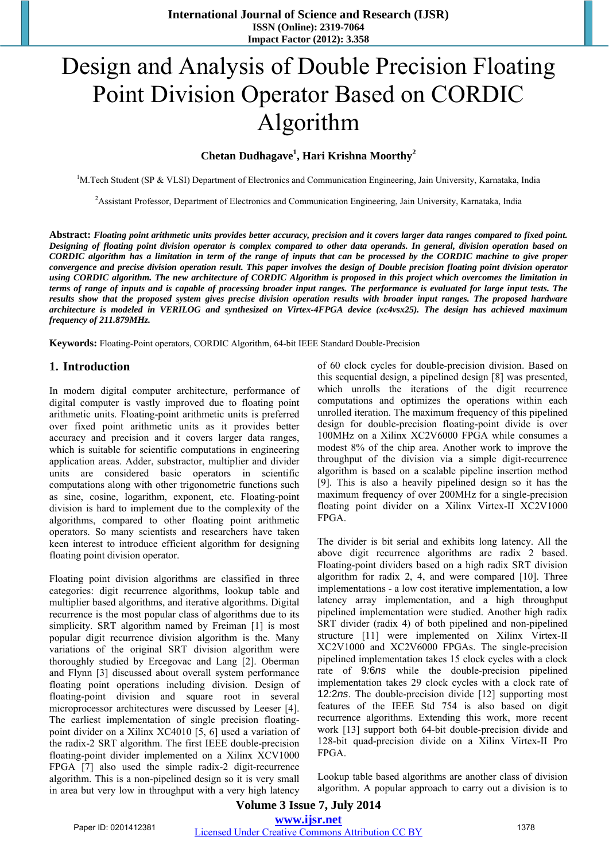## Design and Analysis of Double Precision Floating Point Division Operator Based on CORDIC Algorithm

## **Chetan Dudhagave1 , Hari Krishna Moorthy<sup>2</sup>**

<sup>1</sup>M.Tech Student (SP & VLSI) Department of Electronics and Communication Engineering, Jain University, Karnataka, India

<sup>2</sup> Assistant Professor, Department of Electronics and Communication Engineering, Jain University, Karnataka, India

**Abstract:** *Floating point arithmetic units provides better accuracy, precision and it covers larger data ranges compared to fixed point. Designing of floating point division operator is complex compared to other data operands. In general, division operation based on CORDIC algorithm has a limitation in term of the range of inputs that can be processed by the CORDIC machine to give proper convergence and precise division operation result. This paper involves the design of Double precision floating point division operator using CORDIC algorithm. The new architecture of CORDIC Algorithm is proposed in this project which overcomes the limitation in terms of range of inputs and is capable of processing broader input ranges. The performance is evaluated for large input tests. The results show that the proposed system gives precise division operation results with broader input ranges. The proposed hardware architecture is modeled in VERILOG and synthesized on Virtex-4FPGA device (xc4vsx25). The design has achieved maximum frequency of 211.879MHz.* 

**Keywords:** Floating-Point operators, CORDIC Algorithm, 64-bit IEEE Standard Double-Precision

#### **1. Introduction**

In modern digital computer architecture, performance of digital computer is vastly improved due to floating point arithmetic units. Floating-point arithmetic units is preferred over fixed point arithmetic units as it provides better accuracy and precision and it covers larger data ranges, which is suitable for scientific computations in engineering application areas. Adder, substractor, multiplier and divider units are considered basic operators in scientific computations along with other trigonometric functions such as sine, cosine, logarithm, exponent, etc. Floating-point division is hard to implement due to the complexity of the algorithms, compared to other floating point arithmetic operators. So many scientists and researchers have taken keen interest to introduce efficient algorithm for designing floating point division operator.

Floating point division algorithms are classified in three categories: digit recurrence algorithms, lookup table and multiplier based algorithms, and iterative algorithms. Digital recurrence is the most popular class of algorithms due to its simplicity. SRT algorithm named by Freiman [1] is most popular digit recurrence division algorithm is the. Many variations of the original SRT division algorithm were thoroughly studied by Ercegovac and Lang [2]. Oberman and Flynn [3] discussed about overall system performance floating point operations including division. Design of floating-point division and square root in several microprocessor architectures were discussed by Leeser [4]. The earliest implementation of single precision floatingpoint divider on a Xilinx XC4010 [5, 6] used a variation of the radix-2 SRT algorithm. The first IEEE double-precision floating-point divider implemented on a Xilinx XCV1000 FPGA [7] also used the simple radix-2 digit-recurrence algorithm. This is a non-pipelined design so it is very small in area but very low in throughput with a very high latency

of 60 clock cycles for double-precision division. Based on this sequential design, a pipelined design [8] was presented, which unrolls the iterations of the digit recurrence computations and optimizes the operations within each unrolled iteration. The maximum frequency of this pipelined design for double-precision floating-point divide is over 100MHz on a Xilinx XC2V6000 FPGA while consumes a modest 8% of the chip area. Another work to improve the throughput of the division via a simple digit-recurrence algorithm is based on a scalable pipeline insertion method [9]. This is also a heavily pipelined design so it has the maximum frequency of over 200MHz for a single-precision floating point divider on a Xilinx Virtex-II XC2V1000 FPGA.

The divider is bit serial and exhibits long latency. All the above digit recurrence algorithms are radix 2 based. Floating-point dividers based on a high radix SRT division algorithm for radix 2, 4, and were compared [10]. Three implementations - a low cost iterative implementation, a low latency array implementation, and a high throughput pipelined implementation were studied. Another high radix SRT divider (radix 4) of both pipelined and non-pipelined structure [11] were implemented on Xilinx Virtex-II XC2V1000 and XC2V6000 FPGAs. The single-precision pipelined implementation takes 15 clock cycles with a clock rate of 9*:*6*ns* while the double-precision pipelined implementation takes 29 clock cycles with a clock rate of 12*:*2*ns*. The double-precision divide [12] supporting most features of the IEEE Std 754 is also based on digit recurrence algorithms. Extending this work, more recent work [13] support both 64-bit double-precision divide and 128-bit quad-precision divide on a Xilinx Virtex-II Pro FPGA.

Lookup table based algorithms are another class of division algorithm. A popular approach to carry out a division is to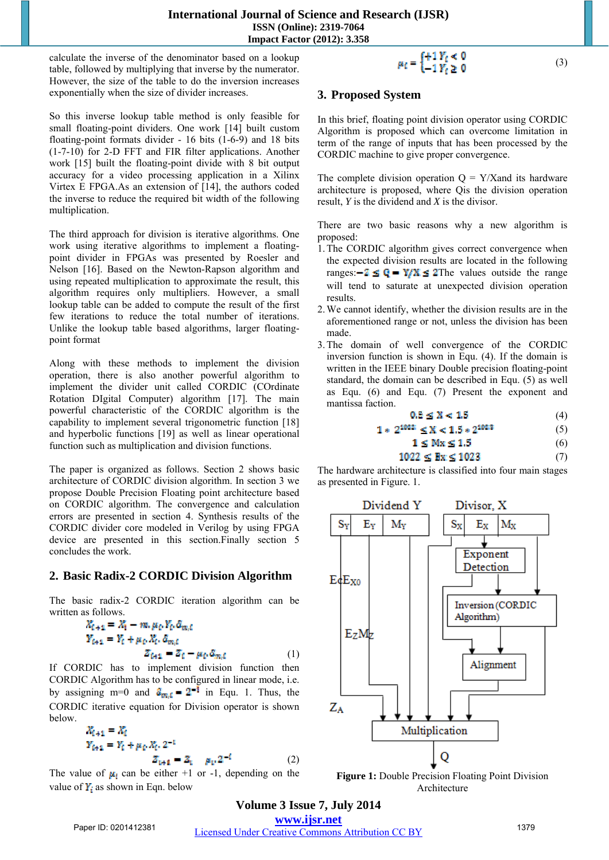#### **International Journal of Science and Research (IJSR) ISSN (Online): 2319-7064 Impact Factor (2012): 3.358**

calculate the inverse of the denominator based on a lookup table, followed by multiplying that inverse by the numerator. However, the size of the table to do the inversion increases exponentially when the size of divider increases.

So this inverse lookup table method is only feasible for small floating-point dividers. One work [14] built custom floating-point formats divider - 16 bits (1-6-9) and 18 bits (1-7-10) for 2-D FFT and FIR filter applications. Another work [15] built the floating-point divide with 8 bit output accuracy for a video processing application in a Xilinx Virtex E FPGA.As an extension of [14], the authors coded the inverse to reduce the required bit width of the following multiplication.

The third approach for division is iterative algorithms. One work using iterative algorithms to implement a floatingpoint divider in FPGAs was presented by Roesler and Nelson [16]. Based on the Newton-Rapson algorithm and using repeated multiplication to approximate the result, this algorithm requires only multipliers. However, a small lookup table can be added to compute the result of the first few iterations to reduce the total number of iterations. Unlike the lookup table based algorithms, larger floatingpoint format

Along with these methods to implement the division operation, there is also another powerful algorithm to implement the divider unit called CORDIC (COrdinate Rotation DIgital Computer) algorithm [17]. The main powerful characteristic of the CORDIC algorithm is the capability to implement several trigonometric function [18] and hyperbolic functions [19] as well as linear operational function such as multiplication and division functions.

The paper is organized as follows. Section 2 shows basic architecture of CORDIC division algorithm. In section 3 we propose Double Precision Floating point architecture based on CORDIC algorithm. The convergence and calculation errors are presented in section 4. Synthesis results of the CORDIC divider core modeled in Verilog by using FPGA device are presented in this section.Finally section 5 concludes the work.

## **2. Basic Radix-2 CORDIC Division Algorithm**

The basic radix-2 CORDIC iteration algorithm can be written as follows.

$$
X_{t+1} = X_t - m, \mu_t, Y_t, \delta_{m,t}
$$
  
\n
$$
Y_{t+1} = Y_t + \mu_t, X_t, \delta_{m,t}
$$
  
\n
$$
Z_{t+1} = Z_t - \mu_t, \delta_{m,t}
$$
 (1)

If CORDIC has to implement division function then CORDIC Algorithm has to be configured in linear mode, i.e. by assigning m=0 and  $\hat{a}_{m,\epsilon} = 2^{-1}$  in Equ. 1. Thus, the CORDIC iterative equation for Division operator is shown below.

$$
X_{i+1} = X_i
$$
  
\n
$$
Y_{i+1} = Y_i + \mu_i X_i. 2^{-1}
$$
  
\n
$$
Z_{i+1} = Z_i - \mu_i. 2^{-i}
$$
 (2)

The value of  $\mu_i$  can be either +1 or -1, depending on the value of  $Y_i$  as shown in Eqn. below

# $\mu_i = \begin{cases} +1 Y_i \leq 0 \\ -1 Y_i \geq 0 \end{cases}$  (3)

## **3. Proposed System**

In this brief, floating point division operator using CORDIC Algorithm is proposed which can overcome limitation in term of the range of inputs that has been processed by the CORDIC machine to give proper convergence.

The complete division operation  $Q = Y/X$  and its hardware architecture is proposed, where Qis the division operation result, *Y* is the dividend and *X* is the divisor.

There are two basic reasons why a new algorithm is proposed:

- 1.The CORDIC algorithm gives correct convergence when the expected division results are located in the following ranges:  $-2 \leq Q = Y/X \leq 2$ The values outside the range will tend to saturate at unexpected division operation results.
- 2.We cannot identify, whether the division results are in the aforementioned range or not, unless the division has been made.
- 3.The domain of well convergence of the CORDIC inversion function is shown in Equ. (4). If the domain is written in the IEEE binary Double precision floating-point standard, the domain can be described in Equ. (5) as well as Equ. (6) and Equ. (7) Present the exponent and mantissa faction.

$$
0.5 \le X < 1.5 \tag{4}
$$

$$
1 * 2^{1022} \le X < 1.5 * 2^{1023} \tag{5}
$$

- $1 \leq Mx \leq 1.5$  (6)
- $1022 \leq Bx \leq 1023$  (7)

The hardware architecture is classified into four main stages as presented in Figure. 1.



**Figure 1:** Double Precision Floating Point Division Architecture

**Volume 3 Issue 7, July 2014 www.ijsr.net** Paper ID: 0201412381 Licensed Under Creative Commons Attribution CC BY 1379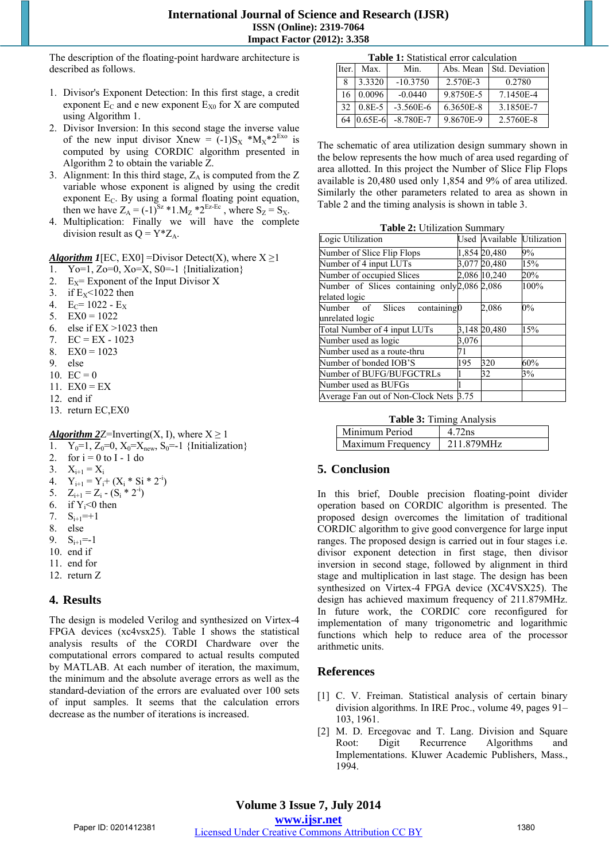#### **International Journal of Science and Research (IJSR) ISSN (Online): 2319-7064 Impact Factor (2012): 3.358**

The description of the floating-point hardware architecture is described as follows.

- 1. Divisor's Exponent Detection: In this first stage, a credit exponent  $E_C$  and e new exponent  $E_{X0}$  for X are computed using Algorithm 1.
- 2. Divisor Inversion: In this second stage the inverse value of the new input divisor Xnew =  $(-1)S_X * M_X * 2^{Ex_0}$  is computed by using CORDIC algorithm presented in Algorithm 2 to obtain the variable Z.
- 3. Alignment: In this third stage,  $Z_A$  is computed from the  $Z$ variable whose exponent is aligned by using the credit exponent  $E_C$ . By using a formal floating point equation, then we have  $Z_A = (-1)^{S_z} * 1.M_z * 2^{E_z-E_c}$ , where  $S_z = S_x$ .
- 4. Multiplication: Finally we will have the complete division result as  $Q = Y^*Z_A$ .

*Algorithm 1*[EC, EX0] =Divisor Detect(X), where  $X \ge 1$ 

- 1. Yo=1, Zo=0, Xo=X, S0=-1 {Initialization}
- 2. Exponent of the Input Divisor X
- 3. if  $E_X$ <1022 then
- 4.  $E_C = 1022 E_X$
- 5.  $EX0 = 1022$
- 6. else if EX >1023 then
- 7.  $EC = EX 1023$
- 8.  $EX0 = 1023$
- 9. else
- 10.  $EC = 0$
- 11.  $EX0 = EX$
- 12. end if
- 13. return EC,EX0

#### *Algorithm 2Z*=Inverting(*X*, I), where  $X \ge 1$

- 1.  $Y_0=1, Z_0=0, X_0=X_{new}, S_0=-1$  {Initialization}<br>2. for  $i = 0$  to I 1 do
- for  $i = 0$  to I 1 do
- 3.  $X_{i+1} = X_i$
- 4.  $Y_{i+1} = Y_i + (X_i * Si * 2^{-i})$
- 5.  $Z_{i+1} = Z_i (S_i * 2^{-i})$
- 6. if  $Y_i \leq 0$  then
- 7.  $S_{i+1} = +1$
- 8. else
- 9.  $S_{i+1}=-1$
- 10. end if
- 11. end for
- 12. return Z

#### **4. Results**

The design is modeled Verilog and synthesized on Virtex-4 FPGA devices (xc4vsx25). Table I shows the statistical analysis results of the CORDI Chardware over the computational errors compared to actual results computed by MATLAB. At each number of iteration, the maximum, the minimum and the absolute average errors as well as the standard-deviation of the errors are evaluated over 100 sets of input samples. It seems that the calculation errors decrease as the number of iterations is increased.

| <b>Table 1:</b> Statistical error calculation |  |
|-----------------------------------------------|--|
|-----------------------------------------------|--|

| Iter. | Max.       | Min.          | Abs. Mean | Std. Deviation |
|-------|------------|---------------|-----------|----------------|
|       | 3.3320     | $-10.3750$    | 2.570E-3  | 0.2780         |
| 16    | 0.0096     | $-0.0440$     | 9.8750E-5 | 7.1450E-4      |
| 32    | $0.8E - 5$ | $-3.560E - 6$ | 6.3650E-8 | 3.1850E-7      |
| 64    | $0.65E-6$  | $-8.780E - 7$ | 9.8670E-9 | 2.5760E-8      |

The schematic of area utilization design summary shown in the below represents the how much of area used regarding of area allotted. In this project the Number of Slice Flip Flops available is 20,480 used only 1,854 and 9% of area utilized. Similarly the other parameters related to area as shown in Table 2 and the timing analysis is shown in table 3.

| <b>Table 2: Utilization Summary</b> |  |  |
|-------------------------------------|--|--|
|-------------------------------------|--|--|

| Logic Utilization                                             |       |              | Used Available Utilization |
|---------------------------------------------------------------|-------|--------------|----------------------------|
| Number of Slice Flip Flops                                    |       | 1,854 20,480 | 9%                         |
| Number of 4 input LUTs                                        |       | 3,077 20,480 | 15%                        |
| Number of occupied Slices                                     |       | 2,086 10,240 | 20%                        |
| Number of Slices containing only 2,086 2,086<br>related logic |       |              | 100%                       |
| containing0<br>Number of Slices<br>unrelated logic            |       | 2.086        | $0\%$                      |
| Total Number of 4 input LUTs                                  |       | 3,148 20,480 | 15%                        |
| Number used as logic                                          | 3,076 |              |                            |
| Number used as a route-thru                                   | 71    |              |                            |
| Number of bonded IOB'S                                        | 195   | 320          | 60%                        |
| Number of BUFG/BUFGCTRLs                                      |       | 32           | 3%                         |
| Number used as BUFGs                                          |       |              |                            |
| Average Fan out of Non-Clock Nets 3.75                        |       |              |                            |

| Minimum Period    | 4 72ns     |
|-------------------|------------|
| Maximum Frequency | 211 879MHz |

#### **5. Conclusion**

In this brief, Double precision floating-point divider operation based on CORDIC algorithm is presented. The proposed design overcomes the limitation of traditional CORDIC algorithm to give good convergence for large input ranges. The proposed design is carried out in four stages i.e. divisor exponent detection in first stage, then divisor inversion in second stage, followed by alignment in third stage and multiplication in last stage. The design has been synthesized on Virtex-4 FPGA device (XC4VSX25). The design has achieved maximum frequency of 211.879MHz. In future work, the CORDIC core reconfigured for implementation of many trigonometric and logarithmic functions which help to reduce area of the processor arithmetic units.

#### **References**

- [1] C. V. Freiman. Statistical analysis of certain binary division algorithms. In IRE Proc., volume 49, pages 91– 103, 1961.
- [2] M. D. Ercegovac and T. Lang. Division and Square Root: Digit Recurrence Algorithms and Implementations. Kluwer Academic Publishers, Mass., 1994.